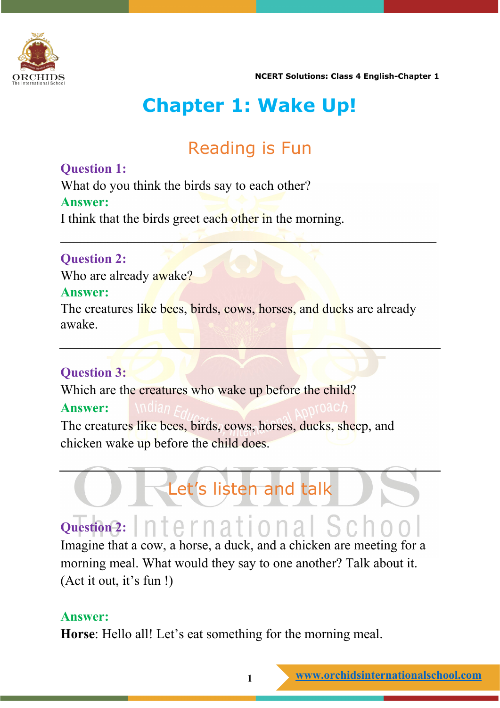

 **NCERT Solutions: Class 4 English-Chapter 1**

## **Chapter 1: Wake Up!**

### Reading is Fun

 $\sim$   $\sim$   $\sim$   $\sim$   $\sim$   $\sim$   $\sim$   $\sim$ 

#### **Question 1:**

What do you think the birds say to each other? **Answer:** I think that the birds greet each other in the morning.

#### **Question 2:**

Who are already awake?

#### **Answer:**

The creatures like bees, birds, cows, horses, and ducks are already awake.

### **Question 3:**

Which are the creatures who wake up before the child? **Answer:** The creatures like bees, birds, cows, horses, ducks, sheep, and chicken wake up before the child does.

# **Question 2:**

Imagine that a cow, a horse, a duck, and a chicken are meeting for a morning meal. What would they say to one another? Talk about it. (Act it out, it's fun !)

Let's listen and talk

#### **Answer:**

**Horse**: Hello all! Let's eat something for the morning meal.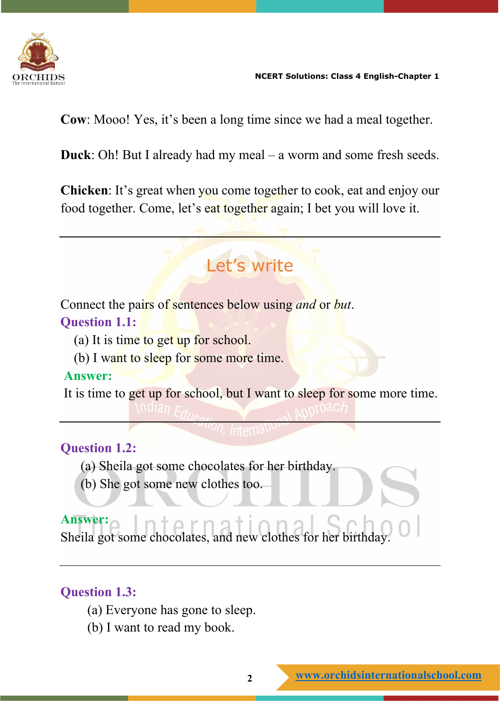

 **NCERT Solutions: Class 4 English-Chapter 1**

**Cow**: Mooo! Yes, it's been a long time since we had a meal together.

**Duck**: Oh! But I already had my meal – a worm and some fresh seeds.

**Chicken**: It's great when you come together to cook, eat and enjoy our food together. Come, let's eat together again; I bet you will love it.

### Let's write

Connect the pairs of sentences below using *and* or *but*. **Question 1.1:**

- (a) It is time to get up for school.
- (b) I want to sleep for some more time.

#### **Answer:**

It is time to get up for school, but I want to sleep for some more time.

### **Question 1.2:**

- (a) Sheila got some chocolates for her birthday.
- (b) She got some new clothes too.

**Answer:** Sheila got some chocolates, and new clothes for her birthday.

### **Question 1.3:**

- (а) Everyone has gone to sleep.
- (b) I want to read my book.